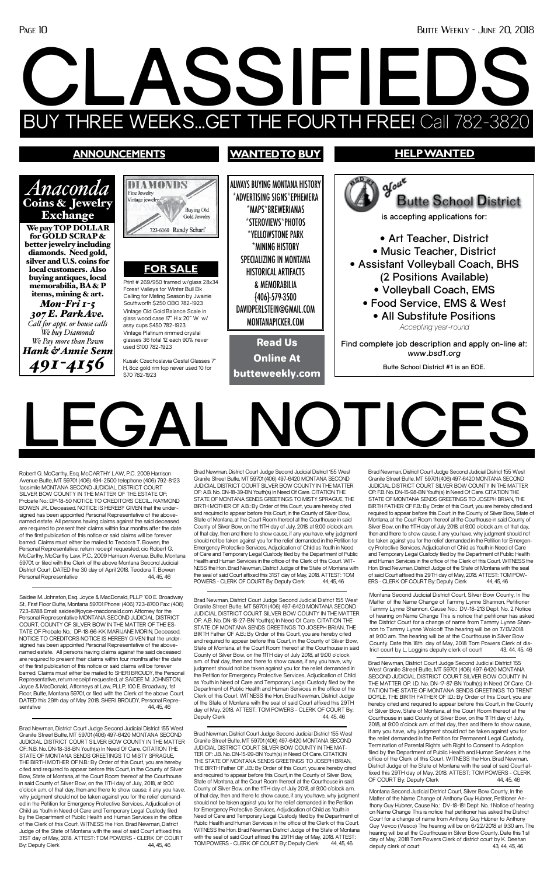#### **WANTEDTO BUY HELP WANTED announcements**  $\mathcal{Y}^{\text{out}}$ ALWAYS BUYING MONTANA HISTORY DIAM *Anaconda*  Fine Jewelry \*ADVERTISING SIGNS\*EPHEMERA **Butte School District** Coins & Jewelry Vintage jewelry \*MAPS\*BREWERIANAS **Buying Old** Exchange **is accepting applications for:** Gold Jewelry \*STEROVIEWS\*PHOTOS We pay TOP DOLLAR 723-6060 Randy Scharf \*YELLOWSTONE PARK for GOLD SCRAP & **• Art Teacher, District** better jewelry including \*MINING HISTORY **• Music Teacher, District** diamonds. Need gold, SPECIALIZING IN MONTANA silver and U.S. coins for **• Assistant Volleyball Coach, BHS FOR SALE** local customers. Also HISTORICAL ARTIFACTS **(2 Positions Available)** buying antiques, local Print # 269/950 framed w/glass 28x34 memorabilia, BA & P & MEMORABILIA **• Volleyball Coach, EMS** Forest Valleys for Winter Bull Elk items, mining & art. Calling for Mating Season by Jwainie {406}-579-3500 **• Food Service, EMS & West** *Mon-Fri 1-5*  Southworth \$250 OBO 782-1923 DAVIDPERLSTEIN@GMAIL.COM Vintage Old Gold Balance Scale in *307 E. Park Ave.* **• All Substitute Positions** glass wood case 17" H x 20" W w/ MONTANAPICKER.COM *Call for appt. or house calls* assy cups \$450 782-1923 *Accepting year-round We buy Diamonds*  Vintage Platinum rimmed crystal glasses 36 total 12 each 90% never *We Pay more than Pawn* Read Us **Find complete job description and apply on-line at:**  used \$100 782-1923 *Hank & Annie Senn www.bsd1.org* Online At Kusak Czechoslavia Cestal Glasses 7" *491-4156* **Butte School District #1 is an EOE.** H, 8oz gold rim top never used 10 for butteweekly.com\$70 782-1923 **LEGAL NOTICES**

Montana Second Judicial District Court, Silver Bow County, In the Matter of the Name Change of Anthony Guy Hubner, Petitioner Anthony Guy Hubner, Cause No.: DV-18-181 Dept. No. 1 Notice of hearing on Name Change This is notice that petitioner has asked the District Court for a change of name from Anthony Guy Hubner to Anthony Guy Vevco (Vesco) The hearing will be on 6/22/2018 at 9:30 am. The hearing will be at the Courthouse in Silver Bow County. Date this 1 st day of May, 2018 Tom Powers Clerk of district court by K. Deehan deputy clerk of court 43, 44, 45, 46

Robert G. McCarthy, Esq. McCARTHY LAW, P.C. 2009 Harrison Avenue Butte, MT 59701 (406) 494-2500 telephone (406) 792-8123 facsimile MONTANA SECOND JUDICIAL DISTRICT COURT SILVER BOW COUNTY IN THE MATTER OF THE ESTATE OF Probate No.: DP-18-50 NOTICE TO CREDITORS CECIL.. RAYMOND BOWEN JR., Deceased. NOTICE IS HEREBY GIVEN that the undersigned has been appointed Personal Representative of the abovenamed estate. All persons having claims against the said deceased are required to present their claims within four months after the date of the first publication of this notice or said claims will be forever barred. Claims must either be mailed to Teodora T. Bowen, the Personal Representative, return receipt requested, cio Robert G. McCarthy, McCarthy Law. P.C., 2009 Harrison Avenue, Butte, Montana 59701, or filed with the Clerk of the above Montana Second Judicial District Court. DATED the 30 day of April 2018. Teodora T. Bowen Personal Representative 44, 45, 46

Saidee M. Johnston, Esq. Joyce & MacDonald, PLLP 100 E. Broadway St., First Floor Butte, Montana 59701 Phone: (406) 723-8700 Fax: (406) 723-8788 Email: saidee@joyce-macdonald.com Attorney for the Personal Representative MONTANA SECOND JUDICIAL DISTRICT COURT, COUNTY OF SILVER BOW IN THE MATTER OF THE ES-TATE OF Probate No.: DP-18-66-KK MARIJANE MORIN, Deceased. NOTICE TO CREDITORS NOTICE IS HEREBY GIVEN that the undersigned has been appointed Personal Representative of the abovenamed estate. All persons having claims against the said deceased are required to present their claims within four months after the date of the first publication of this notice or said claims will be forever barred. Claims must either be mailed to SHERI BROUDY, the Personal Representative, return receipt requested, at SAIDEE M. JOHNSTON, Joyce & MacDonald, Attorneys at Law, PLLP, 100 E. Broadway, 1st Floor, Butte, Montana 59701, or filed with the Clerk of the above Court. DATED this 29th day of May 2018. SHERI BROUDY, Personal Representative 44, 45, 46

Brad Newman, District Court Judge Second Judicial District 155 West Granite Street Butte, MT 59701 (406) 497-6420 MONTANA SECOND JUDICIAL DISTRICT COURT SILVER BOW COUNTY IN THE MATTER OF: A.B. No. DN-18-39-BN Youth(s) In Need Of Care. CITATION THE STATE OF MONTANA SENDS GREETINGS TO MISTY SPRAGUE, THE BIRTH MOTHER OF A.B.: By Order of this Court, you are hereby cited and required to appear before this Court, in the County of Silver Bow, State of Montana, at the Court Room thereof at the Courthouse in said County of Silver Bow, on the 11TH day of July, 2018, at 9:00 o'clock a.m. of that day, then and there to show cause, if any you have, why judgment should not be taken against you for the relief demanded in the Petition for Emergency Protective Services, Adjudication of Child as Youth in Need of Care and Temporary Legal Custody filed by the Department of Public Health and Human Services in the office of the Clerk of this Court. WIT-NESS the Hon. Brad Newman, District Judge of the State of Montana with the seal of said Court affixed this 31ST day of May, 2018. ATTEST: TOM POWERS - CLERK OF COURT By: Deputy Clerk 44, 45, 46

Brad Newman, District Court Judge Second Judicial District 155 West Granite Street Butte, MT 59701 (406) 497-6420 MONTANA SECOND JUDICIAL DISTRICT COURT SILVER BOW COUNTY IN THE MATTER OF: N.B. No. DN-18-38-BN Youth(s) In Need Of Care. CITATION THE STATE OF MONTANA SENDS GREETINGS TO MISTY SPRAGUE, THE BIRTH MOTHER OF N.B.: By Order of this Court, you are hereby cited and required to appear before this Court, in the County of Silver Bow, State of Montana, at the Court Room thereof at the Courthouse in said County of Silver Bow, on the 11TH day of July, 2018, at 9:00 o'clock a.m. of that day, then and there to show cause, if any you have, why judgment should not be taken against you for the relief demanded in the Petition for Emergency Protective Services, Adjudication of Child as Youth in Need of Care and Temporary Legal Custody filed by the Department of Public Health and Human Services in the office of the Clerk of this Court. WITNESS the Hon. Brad Newman, District Judge of the State of Montana with the seal of said Court affixed this 31ST day of May, 2018. ATTEST: TOM POWERS - CLERK OF COURT By: Deputy Clerk 44, 45, 46

Brad Newman, District Court Judge Second Judicial District 155 West Granite Street Butte, MT 59701 (406) 497-6420 MONTANA SECOND JUDICIAL DISTRICT COURT SILVER BOW COUNTY IN THE MATTER OF: A.B. No. DN-18-27-BN Youth(s) In Need Of Care. CITATION THE STATE OF MONTANA SENDS GREETINGS TO JOSEPH BRIAN, THE BIRTH Father OF A.B.: By Order of this Court, you are hereby cited and required to appear before this Court, in the County of Silver Bow, State of Montana, at the Court Room thereof at the Courthouse in said County of Silver Bow, on the 11TH day of July 2018, at 9:00 o'clock a.m. of that day, then and there to show cause, if any you have, why judgment should not be taken against you for the relief demanded in the Petition for Emergency Protective Services, Adjudication of Child as Youth in Need of Care and Temporary Legal Custody filed by the Department of Public Health and Human Services in the office of the Clerk of this Court. WITNESS the Hon. Brad Newman, District Judge of the State of Montana with the seal of said Court affixed this 29TH day of May, 2018. ATTEST: TOM POWERS - CLERK OF COURT By:<br>Deputy Clerk (14.45.46) Deputy Clerk

Brad Newman, District Court Judge Second Judicial District 155 West Granite Street Butte, MT 59701 (406) 497-6420 MONTANA SECOND JUDICIAL DISTRICT COURT SILVER BOW COUNTY IN THE MAT-TER OF: J.B. No. DN-15-99-BN Youth(s) In Need Of Care. CITATION THE STATE OF MONTANA SENDS GREETINGS TO JOSEPH BRIAN, THE BIRTH Father OF J.B.: By Order of this Court, you are hereby cited and required to appear before this Court, in the County of Silver Bow, State of Montana, at the Court Room thereof at the Courthouse in said County of Silver Bow, on the 11TH day of July 2018, at 9:00 o'clock a.m. of that day, then and there to show cause, if any you have, why judgment should not be taken against you for the relief demanded in the Petition for Emergency Protective Services, Adjudication of Child as Youth in Need of Care and Temporary Legal Custody filed by the Department of Public Health and Human Services in the office of the Clerk of this Court. WITNESS the Hon. Brad Newman, District Judge of the State of Montana with the seal of said Court affixed this 29TH day of May, 2018. ATTEST: TOM POWERS - CLERK OF COURT By: Deputy Clerk 44, 45, 46

trict court by L. Loggins deputy clerk of court 43, 44, 45, 46

Brad Newman, District Court Judge Second Judicial District 155 West Granite Street Butte, MT 59701 (406) 497-6420 MONTANA SECOND JUDICIAL DISTRICT COURT SILVER BOW COUNTY IN THE MATTER OF: F.B. No. DN-15-98-BN Youth(s) In Need Of Care. CITATION THE STATE OF MONTANA SENDS GREETINGS TO JOSEPH BRIAN, THE BIRTH FATHER OF F.B.: By Order of this Court, you are hereby cited and required to appear before this Court, in the County of Silver Bow, State of Montana, at the Court Room thereof at the Courthouse in said County of Silver Bow, on the 11TH day of July 2018, at 9:00 o'clock a.m. of that day, then and there to show cause, if any you have, why judgment should not be taken against you for the relief demanded in the Petition for Emergency Protective Services, Adjudication of Child as Youth in Need of Care and Temporary Legal Custody filed by the Department of Public Health and Human Services in the office of the Clerk of this Court. WITNESS the Hon. Brad Newman, District Judge of the State of Montana with the seal of said Court affixed this 29TH day of May, 2018. ATTEST: TOM POW-ERS - CLERK OF COURT By: Deputy Clerk 44, 45, 46

Brad Newman, District Court Judge Second Judicial District 155 West Granite Street Butte, MT 59701 (406) 497-6420 MONTANA SECOND JUDICIAL DISTRICT COURT SILVER BOW COUNTY IN THE MATTER OF: I.D. No. DN-17-87-BN Youth(s) In Need Of Care. CI-TATION THE STATE OF MONTANA SENDS GREETINGS TO TRENT DOYLE, THE BIRTH FATHER OF I.D.: By Order of this Court, you are hereby cited and required to appear before this Court, in the County of Silver Bow, State of Montana, at the Court Room thereof at the Courthouse in said County of Silver Bow, on the 11TH day of July, 2018, at 9:00 o'clock a.m. of that day, then and there to show cause, if any you have, why judgment should not be taken against you for the relief demanded in the Petition for Permanent Legal Custody Termination of Parental Rights with Right to Consent to Adoption filed by the Department of Public Health and Human Services in the office of the Clerk of this Court. WITNESS the Hon. Brad Newman, District Judge of the State of Montana with the seal of said Court affixed this 29TH day of May, 2018. ATTEST: TOM POWERS - CLERK OF COURT By: Deputy Clerk 44, 45, 46

Montana Second Judicial District Court, Silver Bow County, In the Matter of the Name Change of Tammy Lynne Shannon, Petitioner Tammy Lynne Shannon, Cause No.: DV-18-213 Dept. No. 2 Notice of hearing on Name Change This is notice that petitioner has asked the District Court for a change of name from Tammy Lynne Shannon to Tammy Lynne Wolcott The hearing will be on 7/13/2018 at 9:00 am. The hearing will be at the Courthouse in Silver Bow punty. Date this 18th day of May, 2018 Tom Fow

# **CLAS SIFIEDS** BUY THREE WEEKS...GET THE FOURTH FREE! Call 782-3820